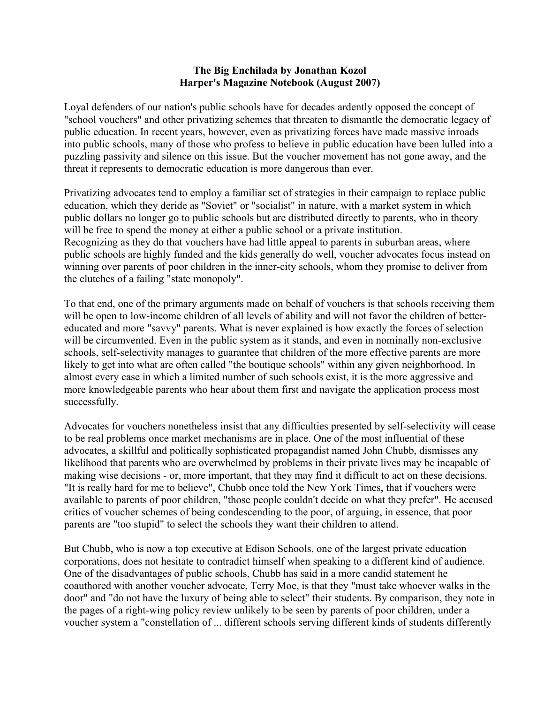## **The Big Enchilada by Jonathan Kozol Harper's Magazine Notebook (August 2007)**

Loyal defenders of our nation's public schools have for decades ardently opposed the concept of "school vouchers" and other privatizing schemes that threaten to dismantle the democratic legacy of public education. In recent years, however, even as privatizing forces have made massive inroads into public schools, many of those who profess to believe in public education have been lulled into a puzzling passivity and silence on this issue. But the voucher movement has not gone away, and the threat it represents to democratic education is more dangerous than ever.

Privatizing advocates tend to employ a familiar set of strategies in their campaign to replace public education, which they deride as "Soviet" or "socialist" in nature, with a market system in which public dollars no longer go to public schools but are distributed directly to parents, who in theory will be free to spend the money at either a public school or a private institution. Recognizing as they do that vouchers have had little appeal to parents in suburban areas, where public schools are highly funded and the kids generally do well, voucher advocates focus instead on winning over parents of poor children in the inner-city schools, whom they promise to deliver from the clutches of a failing "state monopoly".

To that end, one of the primary arguments made on behalf of vouchers is that schools receiving them will be open to low-income children of all levels of ability and will not favor the children of bettereducated and more "savvy" parents. What is never explained is how exactly the forces of selection will be circumvented. Even in the public system as it stands, and even in nominally non-exclusive schools, self-selectivity manages to guarantee that children of the more effective parents are more likely to get into what are often called "the boutique schools" within any given neighborhood. In almost every case in which a limited number of such schools exist, it is the more aggressive and more knowledgeable parents who hear about them first and navigate the application process most successfully.

Advocates for vouchers nonetheless insist that any difficulties presented by self-selectivity will cease to be real problems once market mechanisms are in place. One of the most influential of these advocates, a skillful and politically sophisticated propagandist named John Chubb, dismisses any likelihood that parents who are overwhelmed by problems in their private lives may be incapable of making wise decisions - or, more important, that they may find it difficult to act on these decisions. "It is really hard for me to believe", Chubb once told the New York Times, that if vouchers were available to parents of poor children, "those people couldn't decide on what they prefer". He accused critics of voucher schemes of being condescending to the poor, of arguing, in essence, that poor parents are "too stupid" to select the schools they want their children to attend.

But Chubb, who is now a top executive at Edison Schools, one of the largest private education corporations, does not hesitate to contradict himself when speaking to a different kind of audience. One of the disadvantages of public schools, Chubb has said in a more candid statement he coauthored with another voucher advocate, Terry Moe, is that they "must take whoever walks in the door" and "do not have the luxury of being able to select" their students. By comparison, they note in the pages of a right-wing policy review unlikely to be seen by parents of poor children, under a voucher system a "constellation of ... different schools serving different kinds of students differently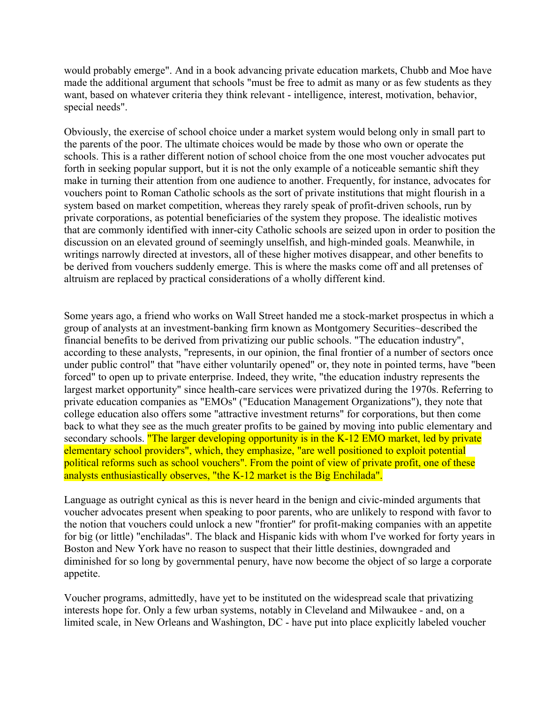would probably emerge". And in a book advancing private education markets, Chubb and Moe have made the additional argument that schools "must be free to admit as many or as few students as they want, based on whatever criteria they think relevant - intelligence, interest, motivation, behavior, special needs".

Obviously, the exercise of school choice under a market system would belong only in small part to the parents of the poor. The ultimate choices would be made by those who own or operate the schools. This is a rather different notion of school choice from the one most voucher advocates put forth in seeking popular support, but it is not the only example of a noticeable semantic shift they make in turning their attention from one audience to another. Frequently, for instance, advocates for vouchers point to Roman Catholic schools as the sort of private institutions that might flourish in a system based on market competition, whereas they rarely speak of profit-driven schools, run by private corporations, as potential beneficiaries of the system they propose. The idealistic motives that are commonly identified with inner-city Catholic schools are seized upon in order to position the discussion on an elevated ground of seemingly unselfish, and high-minded goals. Meanwhile, in writings narrowly directed at investors, all of these higher motives disappear, and other benefits to be derived from vouchers suddenly emerge. This is where the masks come off and all pretenses of altruism are replaced by practical considerations of a wholly different kind.

Some years ago, a friend who works on Wall Street handed me a stock-market prospectus in which a group of analysts at an investment-banking firm known as Montgomery Securities~described the financial benefits to be derived from privatizing our public schools. "The education industry", according to these analysts, "represents, in our opinion, the final frontier of a number of sectors once under public control" that "have either voluntarily opened" or, they note in pointed terms, have "been forced" to open up to private enterprise. Indeed, they write, "the education industry represents the largest market opportunity" since health-care services were privatized during the 1970s. Referring to private education companies as "EMOs" ("Education Management Organizations"), they note that college education also offers some "attractive investment returns" for corporations, but then come back to what they see as the much greater profits to be gained by moving into public elementary and secondary schools. "The larger developing opportunity is in the K-12 EMO market, led by private elementary school providers", which, they emphasize, "are well positioned to exploit potential political reforms such as school vouchers". From the point of view of private profit, one of these analysts enthusiastically observes, "the K-12 market is the Big Enchilada".

Language as outright cynical as this is never heard in the benign and civic-minded arguments that voucher advocates present when speaking to poor parents, who are unlikely to respond with favor to the notion that vouchers could unlock a new "frontier" for profit-making companies with an appetite for big (or little) "enchiladas". The black and Hispanic kids with whom I've worked for forty years in Boston and New York have no reason to suspect that their little destinies, downgraded and diminished for so long by governmental penury, have now become the object of so large a corporate appetite.

Voucher programs, admittedly, have yet to be instituted on the widespread scale that privatizing interests hope for. Only a few urban systems, notably in Cleveland and Milwaukee - and, on a limited scale, in New Orleans and Washington, DC - have put into place explicitly labeled voucher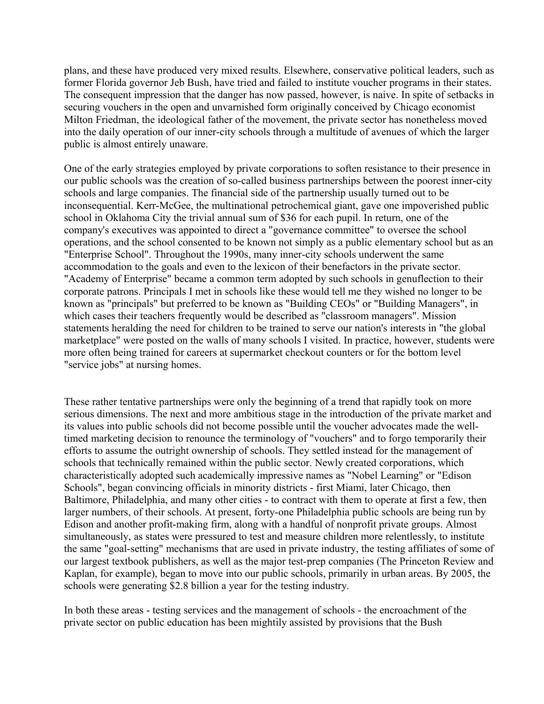plans, and these have produced very mixed results. Elsewhere, conservative political leaders, such as former Florida governor Jeb Bush, have tried and failed to institute voucher programs in their states. The consequent impression that the danger has now passed, however, is naive. In spite of setbacks in securing vouchers in the open and unvarnished form originally conceived by Chicago economist Milton Friedman, the ideological father of the movement, the private sector has nonetheless moved into the daily operation of our inner-city schools through a multitude of avenues of which the larger public is almost entirely unaware.

One of the early strategies employed by private corporations to soften resistance to their presence in our public schools was the creation of so-called business partnerships between the poorest inner-city schools and large companies. The financial side of the partnership usually turned out to be inconsequential. Kerr-McGee, the multinational petrochemical giant, gave one impoverished public school in Oklahoma City the trivial annual sum of \$36 for each pupil. In return, one of the company's executives was appointed to direct a "governance committee" to oversee the school operations, and the school consented to be known not simply as a public elementary school but as an "Enterprise School". Throughout the 1990s, many inner-city schools underwent the same accommodation to the goals and even to the lexicon of their benefactors in the private sector. "Academy of Enterprise" became a common term adopted by such schools in genuflection to their corporate patrons. Principals I met in schools like these would tell me they wished no longer to be known as "principals" but preferred to be known as "Building CEOs" or "Building Managers", in which cases their teachers frequently would be described as "classroom managers". Mission statements heralding the need for children to be trained to serve our nation's interests in "the global marketplace" were posted on the walls of many schools I visited. In practice, however, students were more often being trained for careers at supermarket checkout counters or for the bottom level "service jobs" at nursing homes.

These rather tentative partnerships were only the beginning of a trend that rapidly took on more serious dimensions. The next and more ambitious stage in the introduction of the private market and its values into public schools did not become possible until the voucher advocates made the welltimed marketing decision to renounce the terminology of "vouchers" and to forgo temporarily their efforts to assume the outright ownership of schools. They settled instead for the management of schools that technically remained within the public sector. Newly created corporations, which characteristically adopted such academically impressive names as "Nobel Learning" or "Edison Schools", began convincing officials in minority districts - first Miami, later Chicago, then Baltimore, Philadelphia, and many other cities - to contract with them to operate at first a few, then larger numbers, of their schools. At present, forty-one Philadelphia public schools are being run by Edison and another profit-making firm, along with a handful of nonprofit private groups. Almost simultaneously, as states were pressured to test and measure children more relentlessly, to institute the same "goal-setting" mechanisms that are used in private industry, the testing affiliates of some of our largest textbook publishers, as well as the major test-prep companies (The Princeton Review and Kaplan, for example), began to move into our public schools, primarily in urban areas. By 2005, the schools were generating \$2.8 billion a year for the testing industry.

In both these areas - testing services and the management of schools - the encroachment of the private sector on public education has been mightily assisted by provisions that the Bush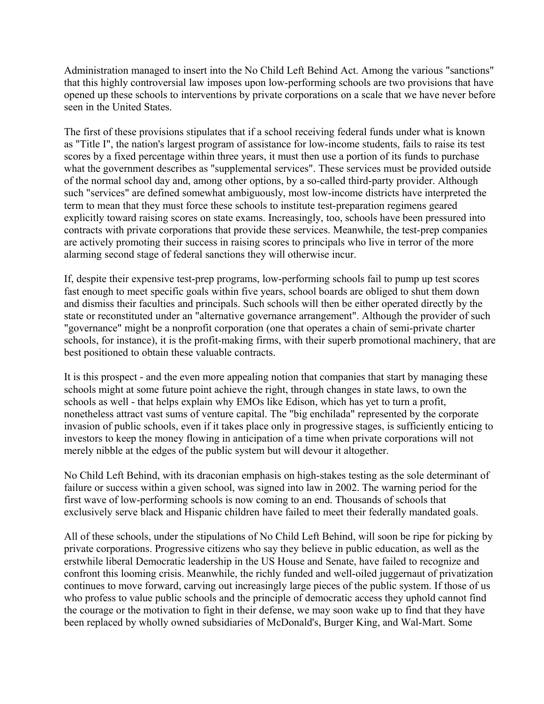Administration managed to insert into the No Child Left Behind Act. Among the various "sanctions" that this highly controversial law imposes upon low-performing schools are two provisions that have opened up these schools to interventions by private corporations on a scale that we have never before seen in the United States.

The first of these provisions stipulates that if a school receiving federal funds under what is known as "Title I", the nation's largest program of assistance for low-income students, fails to raise its test scores by a fixed percentage within three years, it must then use a portion of its funds to purchase what the government describes as "supplemental services". These services must be provided outside of the normal school day and, among other options, by a so-called third-party provider. Although such "services" are defined somewhat ambiguously, most low-income districts have interpreted the term to mean that they must force these schools to institute test-preparation regimens geared explicitly toward raising scores on state exams. Increasingly, too, schools have been pressured into contracts with private corporations that provide these services. Meanwhile, the test-prep companies are actively promoting their success in raising scores to principals who live in terror of the more alarming second stage of federal sanctions they will otherwise incur.

If, despite their expensive test-prep programs, low-performing schools fail to pump up test scores fast enough to meet specific goals within five years, school boards are obliged to shut them down and dismiss their faculties and principals. Such schools will then be either operated directly by the state or reconstituted under an "alternative governance arrangement". Although the provider of such "governance" might be a nonprofit corporation (one that operates a chain of semi-private charter schools, for instance), it is the profit-making firms, with their superb promotional machinery, that are best positioned to obtain these valuable contracts.

It is this prospect - and the even more appealing notion that companies that start by managing these schools might at some future point achieve the right, through changes in state laws, to own the schools as well - that helps explain why EMOs like Edison, which has yet to turn a profit, nonetheless attract vast sums of venture capital. The "big enchilada" represented by the corporate invasion of public schools, even if it takes place only in progressive stages, is sufficiently enticing to investors to keep the money flowing in anticipation of a time when private corporations will not merely nibble at the edges of the public system but will devour it altogether.

No Child Left Behind, with its draconian emphasis on high-stakes testing as the sole determinant of failure or success within a given school, was signed into law in 2002. The warning period for the first wave of low-performing schools is now coming to an end. Thousands of schools that exclusively serve black and Hispanic children have failed to meet their federally mandated goals.

All of these schools, under the stipulations of No Child Left Behind, will soon be ripe for picking by private corporations. Progressive citizens who say they believe in public education, as well as the erstwhile liberal Democratic leadership in the US House and Senate, have failed to recognize and confront this looming crisis. Meanwhile, the richly funded and well-oiled juggernaut of privatization continues to move forward, carving out increasingly large pieces of the public system. If those of us who profess to value public schools and the principle of democratic access they uphold cannot find the courage or the motivation to fight in their defense, we may soon wake up to find that they have been replaced by wholly owned subsidiaries of McDonald's, Burger King, and Wal-Mart. Some